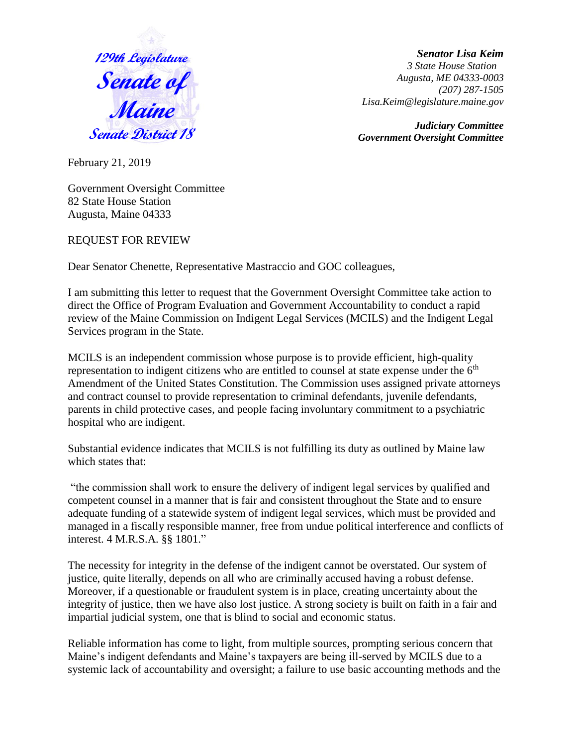

*Senator Lisa Keim*

 *3 State House Station Augusta, ME 04333-0003 (207) 287-1505 Lisa.Keim@legislature.maine.gov*

*Judiciary Committee Government Oversight Committee*

February 21, 2019

Government Oversight Committee 82 State House Station Augusta, Maine 04333

REQUEST FOR REVIEW

Dear Senator Chenette, Representative Mastraccio and GOC colleagues,

I am submitting this letter to request that the Government Oversight Committee take action to direct the Office of Program Evaluation and Government Accountability to conduct a rapid review of the Maine Commission on Indigent Legal Services (MCILS) and the Indigent Legal Services program in the State.

MCILS is an independent commission whose purpose is to provide efficient, high-quality representation to indigent citizens who are entitled to counsel at state expense under the  $6<sup>th</sup>$ Amendment of the United States Constitution. The Commission uses assigned private attorneys and contract counsel to provide representation to criminal defendants, juvenile defendants, parents in child protective cases, and people facing involuntary commitment to a psychiatric hospital who are indigent.

Substantial evidence indicates that MCILS is not fulfilling its duty as outlined by Maine law which states that:

"the commission shall work to ensure the delivery of indigent legal services by qualified and competent counsel in a manner that is fair and consistent throughout the State and to ensure adequate funding of a statewide system of indigent legal services, which must be provided and managed in a fiscally responsible manner, free from undue political interference and conflicts of interest. 4 M.R.S.A. §§ 1801."

The necessity for integrity in the defense of the indigent cannot be overstated. Our system of justice, quite literally, depends on all who are criminally accused having a robust defense. Moreover, if a questionable or fraudulent system is in place, creating uncertainty about the integrity of justice, then we have also lost justice. A strong society is built on faith in a fair and impartial judicial system, one that is blind to social and economic status.

Reliable information has come to light, from multiple sources, prompting serious concern that Maine's indigent defendants and Maine's taxpayers are being ill-served by MCILS due to a systemic lack of accountability and oversight; a failure to use basic accounting methods and the